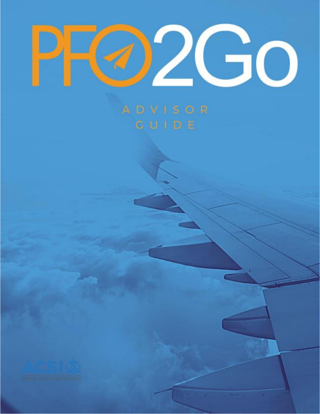

# ADVISOR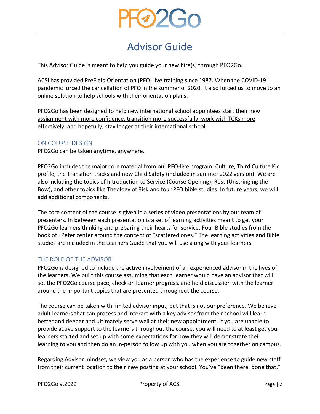

# Advisor Guide

This Advisor Guide is meant to help you guide your new hire(s) through PFO2Go.

ACSI has provided PreField Orientation (PFO) live training since 1987. When the COVID-19 pandemic forced the cancellation of PFO in the summer of 2020, it also forced us to move to an online solution to help schools with their orientation plans.

PFO2Go has been designed to help new international school appointees start their new assignment with more confidence, transition more successfully, work with TCKs more effectively, and hopefully, stay longer at their international school.

#### ON COURSE DESIGN

PFO2Go can be taken anytime, anywhere.

PFO2Go includes the major core material from our PFO-live program: Culture, Third Culture Kid profile, the Transition tracks and now Child Safety (included in summer 2022 version). We are also including the topics of Introduction to Service (Course Opening), Rest (Unstringing the Bow), and other topics like Theology of Risk and four PFO bible studies. In future years, we will add additional components.

The core content of the course is given in a series of video presentations by our team of presenters. In between each presentation is a set of learning activities meant to get your PFO2Go learners thinking and preparing their hearts for service. Four Bible studies from the book of I Peter center around the concept of "scattered ones." The learning activities and Bible studies are included in the Learners Guide that you will use along with your learners.

#### THE ROLE OF THE ADVISOR

PFO2Go is designed to include the active involvement of an experienced advisor in the lives of the learners. We built this course assuming that each learner would have an advisor that will set the PFO2Go course pace, check on learner progress, and hold discussion with the learner around the important topics that are presented throughout the course.

The course can be taken with limited advisor input, but that is not our preference. We believe adult learners that can process and interact with a key advisor from their school will learn better and deeper and ultimately serve well at their new appointment. If you are unable to provide active support to the learners throughout the course, you will need to at least get your learners started and set up with some expectations for how they will demonstrate their learning to you and then do an in-person follow up with you when you are together on campus.

Regarding Advisor mindset, we view you as a person who has the experience to guide new staff from their current location to their new posting at your school. You've "been there, done that."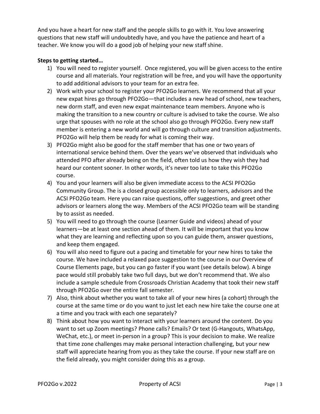And you have a heart for new staff and the people skills to go with it. You love answering questions that new staff will undoubtedly have, and you have the patience and heart of a teacher. We know you will do a good job of helping your new staff shine.

### **Steps to getting started…**

- 1) You will need to register yourself. Once registered, you will be given access to the entire course and all materials. Your registration will be free, and you will have the opportunity to add additional advisors to your team for an extra fee.
- 2) Work with your school to register your PFO2Go learners. We recommend that all your new expat hires go through PFO2Go―that includes a new head of school, new teachers, new dorm staff, and even new expat maintenance team members. Anyone who is making the transition to a new country or culture is advised to take the course. We also urge that spouses with no role at the school also go through PFO2Go. Every new staff member is entering a new world and will go through culture and transition adjustments. PFO2Go will help them be ready for what is coming their way.
- 3) PFO2Go might also be good for the staff member that has one or two years of international service behind them. Over the years we've observed that individuals who attended PFO after already being on the field, often told us how they wish they had heard our content sooner. In other words, it's never too late to take this PFO2Go course.
- 4) You and your learners will also be given immediate access to the ACSI PFO2Go Community Group. The is a closed group accessible only to learners, advisors and the ACSI PFO2Go team. Here you can raise questions, offer suggestions, and greet other advisors or learners along the way. Members of the ACSI PFO2Go team will be standing by to assist as needed.
- 5) You will need to go through the course (Learner Guide and videos) ahead of your learners―be at least one section ahead of them. It will be important that you know what they are learning and reflecting upon so you can guide them, answer questions, and keep them engaged.
- 6) You will also need to figure out a pacing and timetable for your new hires to take the course. We have included a relaxed pace suggestion to the course in our Overview of Course Elements page, but you can go faster if you want (see details below). A binge pace would still probably take two full days, but we don't recommend that. We also include a sample schedule from Crossroads Christian Academy that took their new staff through PFO2Go over the entire fall semester.
- 7) Also, think about whether you want to take all of your new hires (a cohort) through the course at the same time or do you want to just let each new hire take the course one at a time and you track with each one separately?
- 8) Think about how you want to interact with your learners around the content. Do you want to set up Zoom meetings? Phone calls? Emails? Or text (G-Hangouts, WhatsApp, WeChat, etc.), or meet in-person in a group? This is your decision to make. We realize that time zone challenges may make personal interaction challenging, but your new staff will appreciate hearing from you as they take the course. If your new staff are on the field already, you might consider doing this as a group.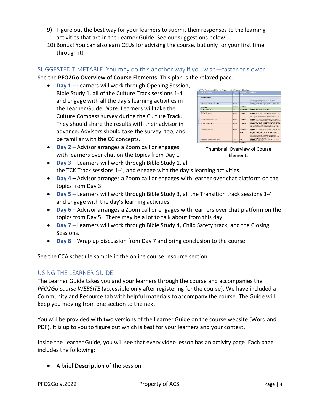- 9) Figure out the best way for your learners to submit their responses to the learning activities that are in the Learner Guide. See our suggestions below.
- 10) Bonus! You can also earn CEUs for advising the course, but only for your first time through it!

## SUGGESTED TIMETABLE. You may do this another way if you wish―faster or slower.

See the **PFO2Go Overview of Course Elements**. This plan is the relaxed pace.

• **Day 1** – Learners will work through Opening Session, Bible Study 1, all of the Culture Track sessions 1-4, and engage with all the day's learning activities in the Learner Guide. *Note:* Learners will take the Culture Compass survey during the Culture Track. They should share the results with their advisor in advance. Advisors should take the survey, too, and be familiar with the CC concepts.



- **Day 2** Advisor arranges a Zoom call or engages with learners over chat on the topics from Day 1.
- Thumbnail Overview of Course Elements
- **Day 3** Learners will work through Bible Study 1, all the TCK Track sessions 1-4, and engage with the day's learning activities.
- **Day 4** Advisor arranges a Zoom call or engages with learner over chat platform on the topics from Day 3.
- **Day 5** Learners will work through Bible Study 3, all the Transition track sessions 1-4 and engage with the day's learning activities.
- **Day 6** Advisor arranges a Zoom call or engages with learners over chat platform on the topics from Day 5. There may be a lot to talk about from this day.
- **Day 7** Learners will work through Bible Study 4, Child Safety track, and the Closing Sessions.
- **Day 8** Wrap up discussion from Day 7 and bring conclusion to the course.

See the CCA schedule sample in the online course resource section.

#### USING THE LEARNER GUIDE

The Learner Guide takes you and your learners through the course and accompanies the *PFO2Go course WEBSITE* (accessible only after registering for the course). We have included a Community and Resource tab with helpful materials to accompany the course. The Guide will keep you moving from one section to the next.

You will be provided with two versions of the Learner Guide on the course website (Word and PDF). It is up to you to figure out which is best for your learners and your context.

Inside the Learner Guide, you will see that every video lesson has an activity page. Each page includes the following:

• A brief **Description** of the session.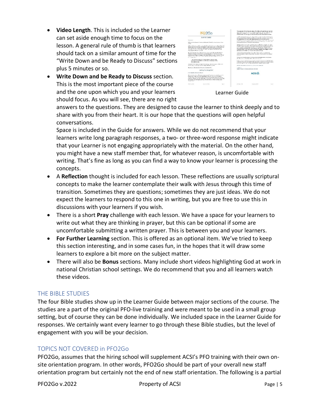- **Video Length**. This is included so the Learner can set aside enough time to focus on the lesson. A general rule of thumb is that learners should tack on a similar amount of time for the "Write Down and be Ready to Discuss" sections plus 5 minutes or so.
- **Write Down and be Ready to Discuss** section. This is the most important piece of the course and the one upon which you and your learners should focus. As you will see, there are no right



Learner Guide

answers to the questions. They are designed to cause the learner to think deeply and to share with you from their heart. It is our hope that the questions will open helpful conversations.

Space is included in the Guide for answers. While we do not recommend that your learners write long paragraph responses, a two- or three-word response might indicate that your Learner is not engaging appropriately with the material. On the other hand, you might have a new staff member that, for whatever reason, is uncomfortable with writing. That's fine as long as you can find a way to know your learner is processing the concepts.

- A **Reflection** thought is included for each lesson. These reflections are usually scriptural concepts to make the learner contemplate their walk with Jesus through this time of transition. Sometimes they are questions; sometimes they are just ideas. We do not expect the learners to respond to this one in writing, but you are free to use this in discussions with your learners if you wish.
- There is a short **Pray** challenge with each lesson. We have a space for your learners to write out what they are thinking in prayer, but this can be optional if some are uncomfortable submitting a written prayer. This is between you and your learners.
- **For Further Learning** section. This is offered as an optional item. We've tried to keep this section interesting, and in some cases fun, in the hopes that it will draw some learners to explore a bit more on the subject matter.
- There will also be **Bonus** sections. Many include short videos highlighting God at work in national Christian school settings. We do recommend that you and all learners watch these videos.

#### THE BIBLE STUDIES

The four Bible studies show up in the Learner Guide between major sections of the course. The studies are a part of the original PFO-live training and were meant to be used in a small group setting, but of course they can be done individually. We included space in the Learner Guide for responses. We certainly want every learner to go through these Bible studies, but the level of engagement with you will be your decision.

# TOPICS NOT COVERED in PFO2Go

PFO2Go, assumes that the hiring school will supplement ACSI's PFO training with their own onsite orientation program. In other words, PFO2Go should be part of your overall new staff orientation program but certainly not the end of new staff orientation. The following is a partial